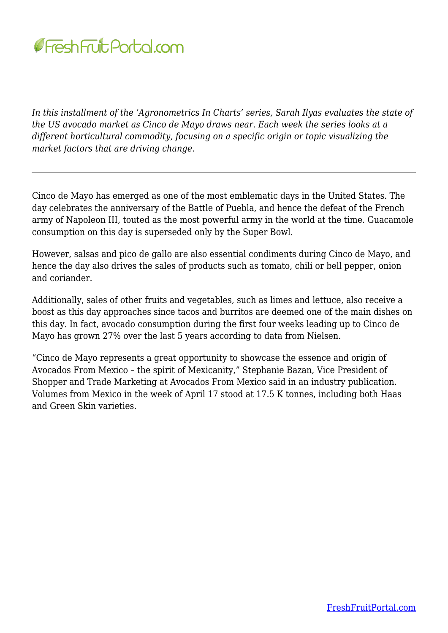

*In this installment of the 'Agronometrics In Charts' series, Sarah Ilyas evaluates the state of the US avocado market as Cinco de Mayo draws near. Each week the series looks at a different horticultural commodity, focusing on a specific origin or topic visualizing the market factors that are driving change.*

Cinco de Mayo has emerged as one of the most emblematic days in the United States. The day celebrates the anniversary of the Battle of Puebla, and hence the defeat of the French army of Napoleon III, touted as the most powerful army in the world at the time. Guacamole consumption on this day is superseded only by the Super Bowl.

However, salsas and pico de gallo are also essential condiments during Cinco de Mayo, and hence the day also drives the sales of products such as tomato, chili or bell pepper, onion and coriander.

Additionally, sales of other fruits and vegetables, such as limes and lettuce, also receive a boost as this day approaches since tacos and burritos are deemed one of the main dishes on this day. In fact, avocado consumption during the first four weeks leading up to Cinco de Mayo has grown 27% over the last 5 years according to data from Nielsen.

"Cinco de Mayo represents a great opportunity to showcase the essence and origin of Avocados From Mexico – the spirit of Mexicanity," Stephanie Bazan, Vice President of Shopper and Trade Marketing at Avocados From Mexico said in an industry publication. Volumes from Mexico in the week of April 17 stood at 17.5 K tonnes, including both Haas and Green Skin varieties.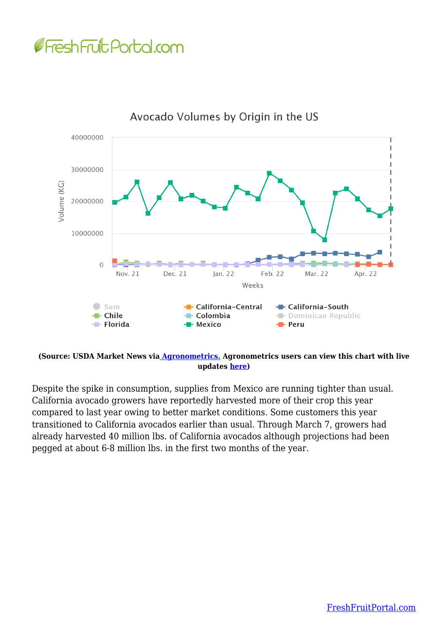## **GFreshFruit Portal.com**



Avocado Volumes by Origin in the US

**(Source: USDA Market News vi[a Agronometrics.](https://www.agronometrics.com/) Agronometrics users can view this chart with live updates [here](https://www.agronometrics.com/system/usda_mv/by_origin/?datasource=usda_mv&commodity=19&level=origin&measure=volume_sum&year=2022&viewing=15&period=WEEKLY&units=KG&interval=26&history=¤cy=USD))**

Despite the spike in consumption, supplies from Mexico are running tighter than usual. California avocado growers have reportedly harvested more of their crop this year compared to last year owing to better market conditions. Some customers this year transitioned to California avocados earlier than usual. Through March 7, growers had already harvested 40 million lbs. of California avocados although projections had been pegged at about 6-8 million lbs. in the first two months of the year.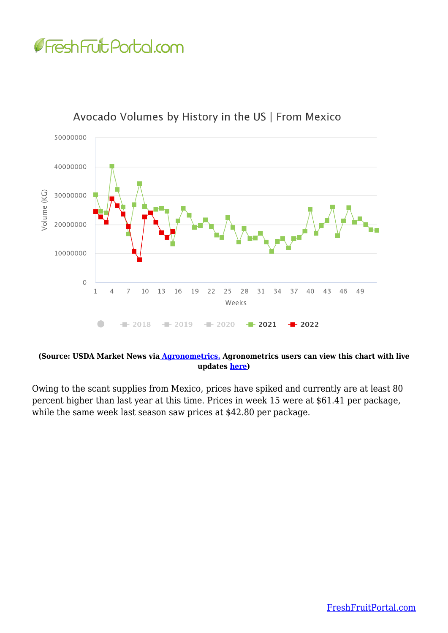



Avocado Volumes by History in the US | From Mexico

## **(Source: USDA Market News vi[a Agronometrics.](https://www.agronometrics.com/) Agronometrics users can view this chart with live updates [here](https://www.agronometrics.com/system/usda_mv/by_history/?datasource=usda_mv&commodity=19&level=history&measure=volume_sum&year=2022&viewing=15&period=WEEKLY&units=KG&interval=26&origin=24&history=true))**

Owing to the scant supplies from Mexico, prices have spiked and currently are at least 80 percent higher than last year at this time. Prices in week 15 were at \$61.41 per package, while the same week last season saw prices at \$42.80 per package.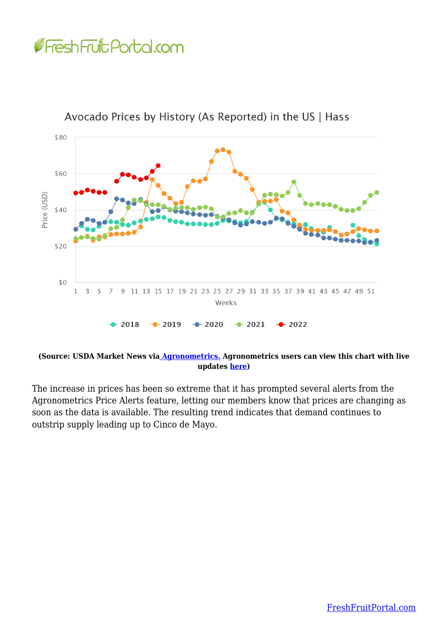## Fresh Fruit Portal.com



Avocado Prices by History (As Reported) in the US | Hass

**(Source: USDA Market News vi[a Agronometrics.](https://www.agronometrics.com/) Agronometrics users can view this chart with live updates [here](https://www.agronometrics.com/system/usda_sp/by_history/?datasource=usda_sp&commodity=19&variety=26&level=history&measure=per_package_price&year=2022&viewing=15&period=WEEKLY&units=KG&interval=26&history=true))**

The increase in prices has been so extreme that it has prompted several alerts from the Agronometrics Price Alerts feature, letting our members know that prices are changing as soon as the data is available. The resulting trend indicates that demand continues to outstrip supply leading up to Cinco de Mayo.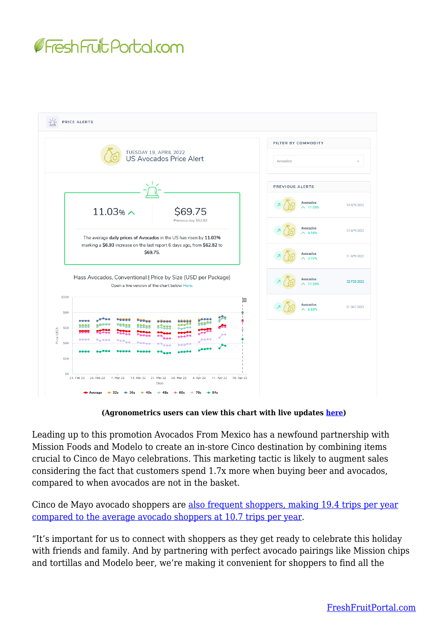



**(Agronometrics users can view this chart with live updates [here](https://www.agronometrics.com/system/alerts/6f551ddb))**

Leading up to this promotion Avocados From Mexico has a newfound partnership with Mission Foods and Modelo to create an in-store Cinco destination by combining items crucial to Cinco de Mayo celebrations. This marketing tactic is likely to augment sales considering the fact that customers spend 1.7x more when buying beer and avocados, compared to when avocados are not in the basket.

Cinco de Mayo avocado shoppers are [also frequent shoppers, making 19.4 trips per year](https://finance.yahoo.com/news/avocados-mexico-helps-shoppers-ready-140000219.html) [compared to the average avocado shoppers at 10.7 trips per year](https://finance.yahoo.com/news/avocados-mexico-helps-shoppers-ready-140000219.html).

"It's important for us to connect with shoppers as they get ready to celebrate this holiday with friends and family. And by partnering with perfect avocado pairings like Mission chips and tortillas and Modelo beer, we're making it convenient for shoppers to find all the